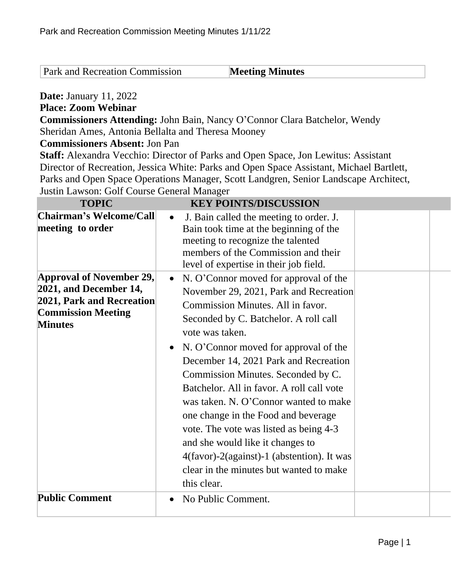Park and Recreation Commission **Meeting Minutes** 

## **Date:** January 11, 2022

## **Place: Zoom Webinar**

**Commissioners Attending:** John Bain, Nancy O'Connor Clara Batchelor, Wendy Sheridan Ames, Antonia Bellalta and Theresa Mooney

## **Commissioners Absent:** Jon Pan

**Staff:** Alexandra Vecchio: Director of Parks and Open Space, Jon Lewitus: Assistant Director of Recreation, Jessica White: Parks and Open Space Assistant, Michael Bartlett, Parks and Open Space Operations Manager, Scott Landgren, Senior Landscape Architect, Justin Lawson: Golf Course General Manager

| <b>TOPIC</b>                                                                                                                          | <b>KEY POINTS/DISCUSSION</b>                                                                                                                                                                                                                                                                                                                                                                                                                                                                                                                                                                                                                          |
|---------------------------------------------------------------------------------------------------------------------------------------|-------------------------------------------------------------------------------------------------------------------------------------------------------------------------------------------------------------------------------------------------------------------------------------------------------------------------------------------------------------------------------------------------------------------------------------------------------------------------------------------------------------------------------------------------------------------------------------------------------------------------------------------------------|
| Chairman's Welcome/Call<br>meeting to order                                                                                           | J. Bain called the meeting to order. J.<br>$\bullet$<br>Bain took time at the beginning of the<br>meeting to recognize the talented<br>members of the Commission and their<br>level of expertise in their job field.                                                                                                                                                                                                                                                                                                                                                                                                                                  |
| Approval of November 29,<br>2021, and December 14,<br><b>2021, Park and Recreation</b><br><b>Commission Meeting</b><br><b>Minutes</b> | N. O'Connor moved for approval of the<br>$\bullet$<br>November 29, 2021, Park and Recreation<br>Commission Minutes. All in favor.<br>Seconded by C. Batchelor. A roll call<br>vote was taken.<br>N. O'Connor moved for approval of the<br>$\bullet$<br>December 14, 2021 Park and Recreation<br>Commission Minutes. Seconded by C.<br>Batchelor. All in favor. A roll call vote<br>was taken. N. O'Connor wanted to make<br>one change in the Food and beverage<br>vote. The vote was listed as being 4-3<br>and she would like it changes to<br>4(favor)-2(against)-1 (abstention). It was<br>clear in the minutes but wanted to make<br>this clear. |
| <b>Public Comment</b>                                                                                                                 | No Public Comment.<br>$\bullet$                                                                                                                                                                                                                                                                                                                                                                                                                                                                                                                                                                                                                       |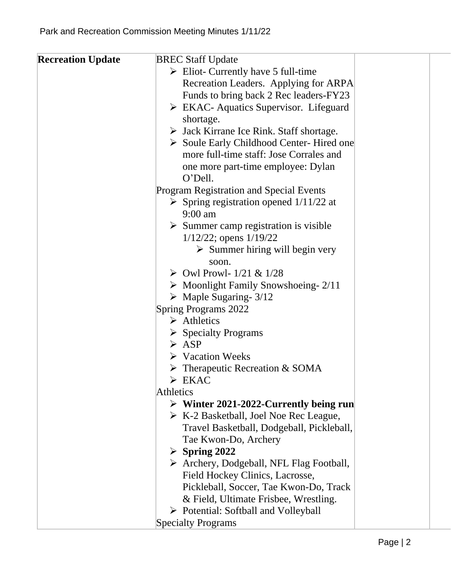| <b>Recreation Update</b> | <b>BREC Staff Update</b>                                |  |
|--------------------------|---------------------------------------------------------|--|
|                          | $\triangleright$ Eliot- Currently have 5 full-time      |  |
|                          | Recreation Leaders. Applying for ARPA                   |  |
|                          | Funds to bring back 2 Rec leaders-FY23                  |  |
|                          | $\triangleright$ EKAC-Aquatics Supervisor. Lifeguard    |  |
|                          | shortage.                                               |  |
|                          | $\triangleright$ Jack Kirrane Ice Rink. Staff shortage. |  |
|                          | Soule Early Childhood Center-Hired one                  |  |
|                          | more full-time staff: Jose Corrales and                 |  |
|                          | one more part-time employee: Dylan                      |  |
|                          | O'Dell.                                                 |  |
|                          | Program Registration and Special Events                 |  |
|                          | $\triangleright$ Spring registration opened 1/11/22 at  |  |
|                          | $9:00$ am                                               |  |
|                          | $\triangleright$ Summer camp registration is visible    |  |
|                          | $1/12/22$ ; opens $1/19/22$                             |  |
|                          | $\triangleright$ Summer hiring will begin very          |  |
|                          | soon.                                                   |  |
|                          | $\triangleright$ Owl Prowl- 1/21 & 1/28                 |  |
|                          | $\triangleright$ Moonlight Family Snowshoeing- 2/11     |  |
|                          | $\triangleright$ Maple Sugaring- 3/12                   |  |
|                          | <b>Spring Programs 2022</b>                             |  |
|                          | $\triangleright$ Athletics                              |  |
|                          | $\triangleright$ Specialty Programs                     |  |
|                          | $\triangleright$ ASP                                    |  |
|                          | $\triangleright$ Vacation Weeks                         |  |
|                          | $\triangleright$ Therapeutic Recreation & SOMA          |  |
|                          | $\triangleright$ EKAC                                   |  |
|                          | Athletics                                               |  |
|                          | $\triangleright$ Winter 2021-2022-Currently being run   |  |
|                          | $\triangleright$ K-2 Basketball, Joel Noe Rec League,   |  |
|                          | Travel Basketball, Dodgeball, Pickleball,               |  |
|                          | Tae Kwon-Do, Archery                                    |  |
|                          | $\triangleright$ Spring 2022                            |  |
|                          | $\triangleright$ Archery, Dodgeball, NFL Flag Football, |  |
|                          | Field Hockey Clinics, Lacrosse,                         |  |
|                          | Pickleball, Soccer, Tae Kwon-Do, Track                  |  |
|                          | & Field, Ultimate Frisbee, Wrestling.                   |  |
|                          | $\triangleright$ Potential: Softball and Volleyball     |  |
|                          | <b>Specialty Programs</b>                               |  |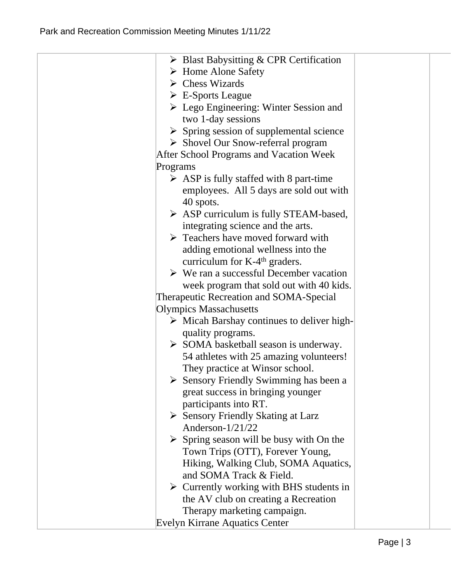| $\triangleright$ Blast Babysitting & CPR Certification    |  |
|-----------------------------------------------------------|--|
| $\triangleright$ Home Alone Safety                        |  |
| $\triangleright$ Chess Wizards                            |  |
| $\triangleright$ E-Sports League                          |  |
| $\triangleright$ Lego Engineering: Winter Session and     |  |
| two 1-day sessions                                        |  |
| $\triangleright$ Spring session of supplemental science   |  |
| $\triangleright$ Shovel Our Snow-referral program         |  |
| <b>After School Programs and Vacation Week</b>            |  |
| Programs                                                  |  |
| $\triangleright$ ASP is fully staffed with 8 part-time    |  |
| employees. All 5 days are sold out with                   |  |
| 40 spots.                                                 |  |
| $\triangleright$ ASP curriculum is fully STEAM-based,     |  |
| integrating science and the arts.                         |  |
| $\triangleright$ Teachers have moved forward with         |  |
| adding emotional wellness into the                        |  |
| curriculum for $K-4th$ graders.                           |  |
| $\triangleright$ We ran a successful December vacation    |  |
| week program that sold out with 40 kids.                  |  |
| Therapeutic Recreation and SOMA-Special                   |  |
| <b>Olympics Massachusetts</b>                             |  |
| $\triangleright$ Micah Barshay continues to deliver high- |  |
| quality programs.                                         |  |
| $\triangleright$ SOMA basketball season is underway.      |  |
| 54 athletes with 25 amazing volunteers!                   |  |
| They practice at Winsor school.                           |  |
| $\triangleright$ Sensory Friendly Swimming has been a     |  |
| great success in bringing younger                         |  |
| participants into RT.                                     |  |
| Sensory Friendly Skating at Larz                          |  |
| Anderson-1/21/22                                          |  |
| $\triangleright$ Spring season will be busy with On the   |  |
| Town Trips (OTT), Forever Young,                          |  |
| Hiking, Walking Club, SOMA Aquatics,                      |  |
| and SOMA Track & Field.                                   |  |
| $\triangleright$ Currently working with BHS students in   |  |
| the AV club on creating a Recreation                      |  |
| Therapy marketing campaign.                               |  |
| <b>Evelyn Kirrane Aquatics Center</b>                     |  |
|                                                           |  |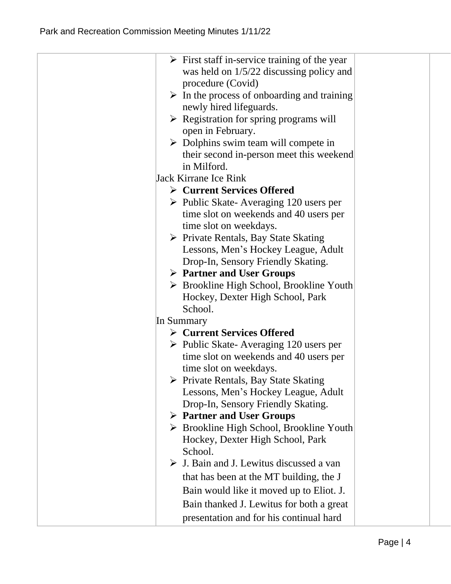| $\triangleright$ First staff in-service training of the year<br>was held on $1/5/22$ discussing policy and<br>procedure (Covid)<br>$\triangleright$ In the process of onboarding and training<br>newly hired lifeguards.<br>$\triangleright$ Registration for spring programs will<br>open in February.<br>$\triangleright$ Dolphins swim team will compete in                                                      |
|---------------------------------------------------------------------------------------------------------------------------------------------------------------------------------------------------------------------------------------------------------------------------------------------------------------------------------------------------------------------------------------------------------------------|
| their second in-person meet this weekend<br>in Milford.                                                                                                                                                                                                                                                                                                                                                             |
| <b>Jack Kirrane Ice Rink</b>                                                                                                                                                                                                                                                                                                                                                                                        |
| $\triangleright$ Current Services Offered                                                                                                                                                                                                                                                                                                                                                                           |
| $\triangleright$ Public Skate-Averaging 120 users per<br>time slot on weekends and 40 users per<br>time slot on weekdays.<br>$\triangleright$ Private Rentals, Bay State Skating<br>Lessons, Men's Hockey League, Adult<br>Drop-In, Sensory Friendly Skating.<br>$\triangleright$ Partner and User Groups<br>$\triangleright$ Brookline High School, Brookline Youth<br>Hockey, Dexter High School, Park<br>School. |
| In Summary                                                                                                                                                                                                                                                                                                                                                                                                          |
| $\triangleright$ Current Services Offered                                                                                                                                                                                                                                                                                                                                                                           |
| $\triangleright$ Public Skate-Averaging 120 users per<br>time slot on weekends and 40 users per<br>time slot on weekdays.<br>$\triangleright$ Private Rentals, Bay State Skating<br>Lessons, Men's Hockey League, Adult<br>Drop-In, Sensory Friendly Skating.<br>$\triangleright$ Partner and User Groups<br>$\triangleright$ Brookline High School, Brookline Youth<br>Hockey, Dexter High School, Park            |
| School.<br>$\triangleright$ J. Bain and J. Lewitus discussed a van<br>that has been at the MT building, the J<br>Bain would like it moved up to Eliot. J.<br>Bain thanked J. Lewitus for both a great                                                                                                                                                                                                               |
| presentation and for his continual hard                                                                                                                                                                                                                                                                                                                                                                             |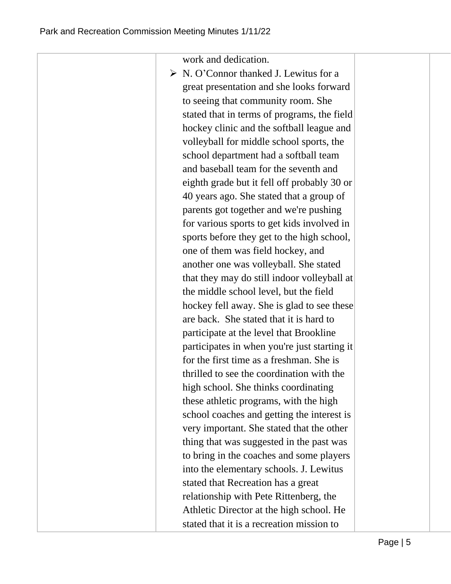work and dedication.

 $\triangleright$  N. O'Connor thanked J. Lewitus for a great presentation and she looks forward to seeing that community room. She stated that in terms of programs, the field hockey clinic and the softball league and volleyball for middle school sports, the school department had a softball team and baseball team for the seventh and eighth grade but it fell off probably 30 or 40 years ago. She stated that a group of parents got together and we're pushing for various sports to get kids involved in sports before they get to the high school, one of them was field hockey, and another one was volleyball. She stated that they may do still indoor volleyball at the middle school level, but the field hockey fell away. She is glad to see these are back. She stated that it is hard to participate at the level that Brookline participates in when you're just starting it for the first time as a freshman. She is thrilled to see the coordination with the high school. She thinks coordinating these athletic programs, with the high school coaches and getting the interest is very important. She stated that the other thing that was suggested in the past was to bring in the coaches and some players into the elementary schools. J. Lewitus stated that Recreation has a great relationship with Pete Rittenberg, the Athletic Director at the high school. He stated that it is a recreation mission to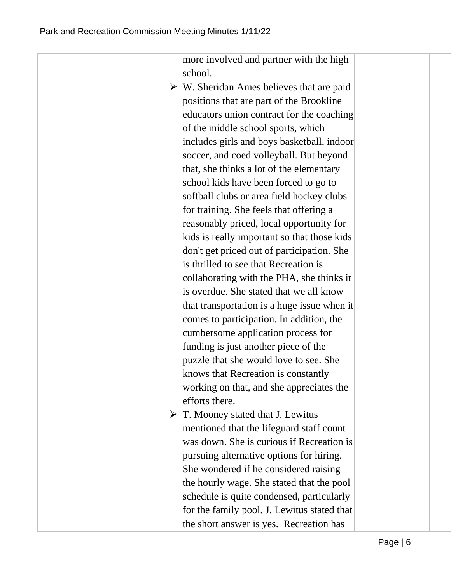more involved and partner with the high school.  $\triangleright$  W. Sheridan Ames believes that are paid positions that are part of the Brookline educators union contract for the coaching of the middle school sports, which includes girls and boys basketball, indoor soccer, and coed volleyball. But beyond that, she thinks a lot of the elementary school kids have been forced to go to softball clubs or area field hockey clubs for training. She feels that offering a reasonably priced, local opportunity for kids is really important so that those kids don't get priced out of participation. She is thrilled to see that Recreation is collaborating with the PHA, she thinks it is overdue. She stated that we all know that transportation is a huge issue when it comes to participation. In addition, the cumbersome application process for funding is just another piece of the puzzle that she would love to see. She knows that Recreation is constantly working on that, and she appreciates the efforts there.  $\triangleright$  T. Mooney stated that J. Lewitus mentioned that the lifeguard staff count was down. She is curious if Recreation is pursuing alternative options for hiring. She wondered if he considered raising the hourly wage. She stated that the pool schedule is quite condensed, particularly for the family pool. J. Lewitus stated that the short answer is yes. Recreation has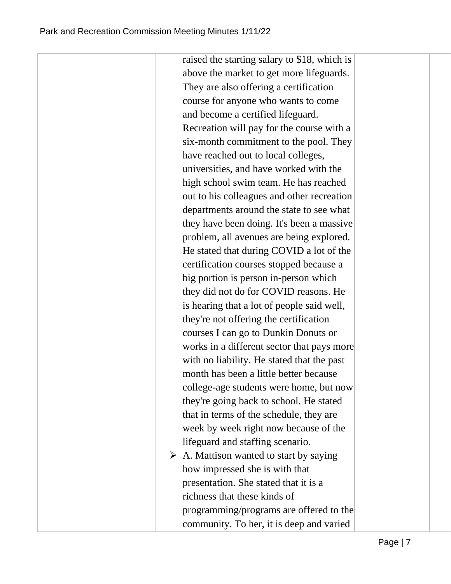raised the starting salary to \$18, which is above the market to get more lifeguards. They are also offering a certification course for anyone who wants to come and become a certified lifeguard. Recreation will pay for the course with a six-month commitment to the pool. They have reached out to local colleges, universities, and have worked with the high school swim team. He has reached out to his colleagues and other recreation departments around the state to see what they have been doing. It's been a massive problem, all avenues are being explored. He stated that during COVID a lot of the certification courses stopped because a big portion is person in-person which they did not do for COVID reasons. He is hearing that a lot of people said well, they're not offering the certification courses I can go to Dunkin Donuts or works in a different sector that pays more with no liability. He stated that the past month has been a little better because college-age students were home, but now they're going back to school. He stated that in terms of the schedule, they are week by week right now because of the lifeguard and staffing scenario.  $\triangleright$  A. Mattison wanted to start by saying how impressed she is with that presentation. She stated that it is a richness that these kinds of programming/programs are offered to the

community. To her, it is deep and varied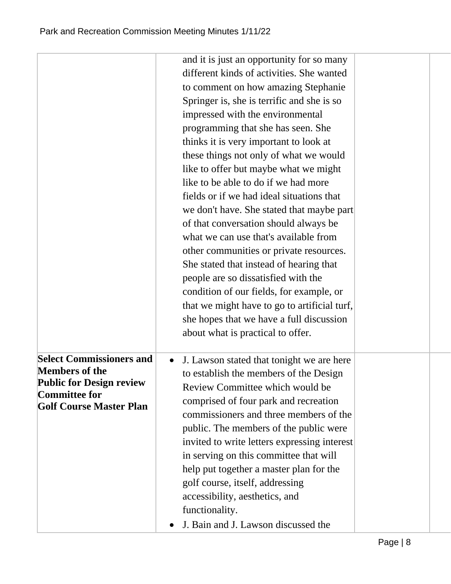|                                                                                                                                                       | and it is just an opportunity for so many<br>different kinds of activities. She wanted<br>to comment on how amazing Stephanie<br>Springer is, she is terrific and she is so<br>impressed with the environmental<br>programming that she has seen. She<br>thinks it is very important to look at<br>these things not only of what we would<br>like to offer but maybe what we might<br>like to be able to do if we had more<br>fields or if we had ideal situations that<br>we don't have. She stated that maybe part<br>of that conversation should always be<br>what we can use that's available from<br>other communities or private resources.<br>She stated that instead of hearing that<br>people are so dissatisfied with the<br>condition of our fields, for example, or<br>that we might have to go to artificial turf,<br>she hopes that we have a full discussion<br>about what is practical to offer. |  |
|-------------------------------------------------------------------------------------------------------------------------------------------------------|------------------------------------------------------------------------------------------------------------------------------------------------------------------------------------------------------------------------------------------------------------------------------------------------------------------------------------------------------------------------------------------------------------------------------------------------------------------------------------------------------------------------------------------------------------------------------------------------------------------------------------------------------------------------------------------------------------------------------------------------------------------------------------------------------------------------------------------------------------------------------------------------------------------|--|
| <b>Select Commissioners and</b><br><b>Members of the</b><br><b>Public for Design review</b><br><b>Committee for</b><br><b>Golf Course Master Plan</b> | J. Lawson stated that tonight we are here<br>to establish the members of the Design<br>Review Committee which would be<br>comprised of four park and recreation<br>commissioners and three members of the<br>public. The members of the public were<br>invited to write letters expressing interest<br>in serving on this committee that will<br>help put together a master plan for the<br>golf course, itself, addressing<br>accessibility, aesthetics, and<br>functionality.<br>J. Bain and J. Lawson discussed the                                                                                                                                                                                                                                                                                                                                                                                           |  |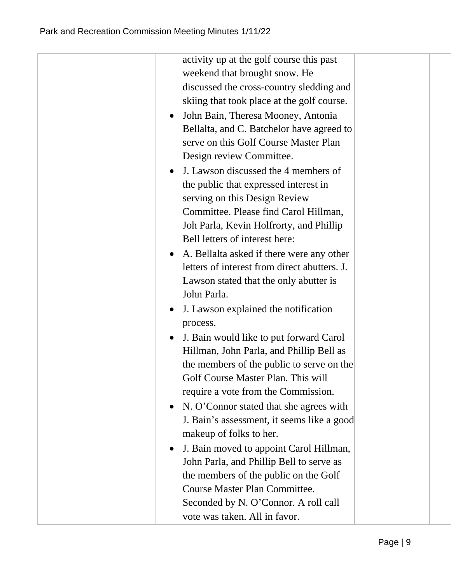| activity up at the golf course this past<br>weekend that brought snow. He<br>discussed the cross-country sledding and<br>skiing that took place at the golf course.<br>John Bain, Theresa Mooney, Antonia<br>$\bullet$<br>Bellalta, and C. Batchelor have agreed to<br>serve on this Golf Course Master Plan<br>Design review Committee.<br>J. Lawson discussed the 4 members of<br>$\bullet$<br>the public that expressed interest in<br>serving on this Design Review<br>Committee. Please find Carol Hillman,<br>Joh Parla, Kevin Holfrorty, and Phillip<br>Bell letters of interest here:<br>• A. Bellalta asked if there were any other<br>letters of interest from direct abutters. J.<br>Lawson stated that the only abutter is<br>John Parla.<br>J. Lawson explained the notification<br>$\bullet$<br>process.<br>J. Bain would like to put forward Carol<br>$\bullet$<br>Hillman, John Parla, and Phillip Bell as<br>the members of the public to serve on the<br>Golf Course Master Plan. This will |  |
|---------------------------------------------------------------------------------------------------------------------------------------------------------------------------------------------------------------------------------------------------------------------------------------------------------------------------------------------------------------------------------------------------------------------------------------------------------------------------------------------------------------------------------------------------------------------------------------------------------------------------------------------------------------------------------------------------------------------------------------------------------------------------------------------------------------------------------------------------------------------------------------------------------------------------------------------------------------------------------------------------------------|--|
| require a vote from the Commission.<br>N. O'Connor stated that she agrees with<br>$\bullet$<br>J. Bain's assessment, it seems like a good<br>makeup of folks to her.                                                                                                                                                                                                                                                                                                                                                                                                                                                                                                                                                                                                                                                                                                                                                                                                                                          |  |
| J. Bain moved to appoint Carol Hillman,<br>John Parla, and Phillip Bell to serve as<br>the members of the public on the Golf<br><b>Course Master Plan Committee.</b><br>Seconded by N. O'Connor. A roll call<br>vote was taken. All in favor.                                                                                                                                                                                                                                                                                                                                                                                                                                                                                                                                                                                                                                                                                                                                                                 |  |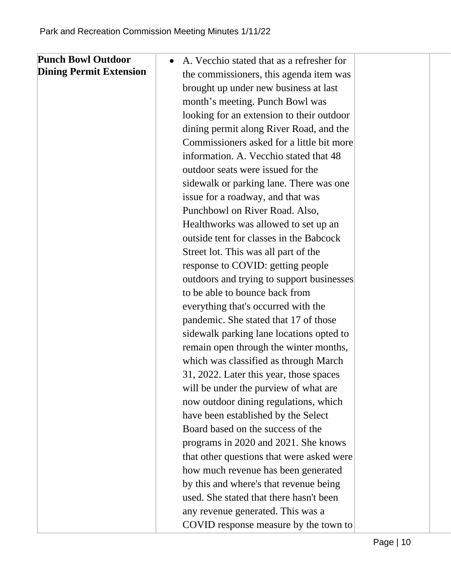| <b>Punch Bowl Outdoor</b>      | A. Vecchio stated that as a refresher for |
|--------------------------------|-------------------------------------------|
| <b>Dining Permit Extension</b> | the commissioners, this agenda item was   |
|                                | brought up under new business at last     |
|                                | month's meeting. Punch Bowl was           |
|                                | looking for an extension to their outdoor |
|                                | dining permit along River Road, and the   |
|                                | Commissioners asked for a little bit more |
|                                | information. A. Vecchio stated that 48    |
|                                | outdoor seats were issued for the         |
|                                | sidewalk or parking lane. There was one   |
|                                | issue for a roadway, and that was         |
|                                | Punchbowl on River Road. Also,            |
|                                | Healthworks was allowed to set up an      |
|                                | outside tent for classes in the Babcock   |
|                                | Street lot. This was all part of the      |
|                                | response to COVID: getting people         |
|                                | outdoors and trying to support businesses |
|                                | to be able to bounce back from            |
|                                | everything that's occurred with the       |
|                                | pandemic. She stated that 17 of those     |
|                                | sidewalk parking lane locations opted to  |
|                                | remain open through the winter months,    |
|                                | which was classified as through March     |
|                                | 31, 2022. Later this year, those spaces   |
|                                | will be under the purview of what are     |
|                                | now outdoor dining regulations, which     |
|                                | have been established by the Select       |
|                                | Board based on the success of the         |
|                                | programs in 2020 and 2021. She knows      |
|                                | that other questions that were asked were |
|                                | how much revenue has been generated       |
|                                | by this and where's that revenue being    |
|                                | used. She stated that there hasn't been   |
|                                | any revenue generated. This was a         |
|                                | COVID response measure by the town to     |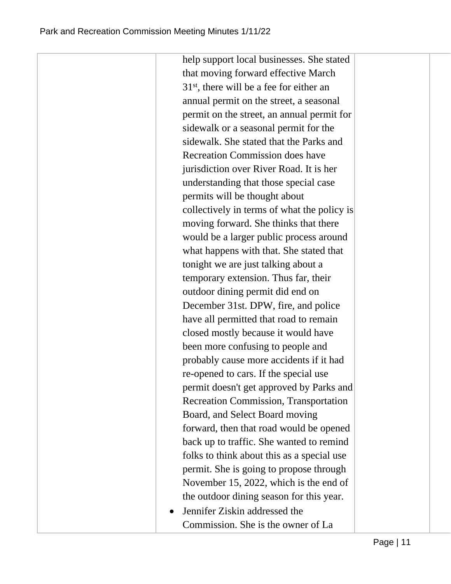help support local businesses. She stated that moving forward effective March 31st, there will be a fee for either an annual permit on the street, a seasonal permit on the street, an annual permit for sidewalk or a seasonal permit for the sidewalk. She stated that the Parks and Recreation Commission does have jurisdiction over River Road. It is her understanding that those special case permits will be thought about collectively in terms of what the policy is moving forward. She thinks that there would be a larger public process around what happens with that. She stated that tonight we are just talking about a temporary extension. Thus far, their outdoor dining permit did end on December 31st. DPW, fire, and police have all permitted that road to remain closed mostly because it would have been more confusing to people and probably cause more accidents if it had re-opened to cars. If the special use permit doesn't get approved by Parks and Recreation Commission, Transportation Board, and Select Board moving forward, then that road would be opened back up to traffic. She wanted to remind folks to think about this as a special use permit. She is going to propose through November 15, 2022, which is the end of the outdoor dining season for this year. • Jennifer Ziskin addressed the

Commission. She is the owner of La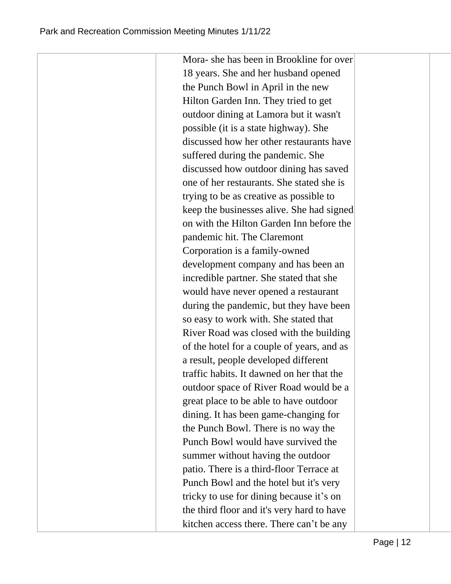Mora- she has been in Brookline for over 18 years. She and her husband opened the Punch Bowl in April in the new Hilton Garden Inn. They tried to get outdoor dining at Lamora but it wasn't possible (it is a state highway). She discussed how her other restaurants have suffered during the pandemic. She discussed how outdoor dining has saved one of her restaurants. She stated she is trying to be as creative as possible to keep the businesses alive. She had signed on with the Hilton Garden Inn before the pandemic hit. The Claremont Corporation is a family-owned development company and has been an incredible partner. She stated that she would have never opened a restaurant during the pandemic, but they have been so easy to work with. She stated that River Road was closed with the building of the hotel for a couple of years, and as a result, people developed different traffic habits. It dawned on her that the outdoor space of River Road would be a great place to be able to have outdoor dining. It has been game-changing for the Punch Bowl. There is no way the Punch Bowl would have survived the summer without having the outdoor patio. There is a third-floor Terrace at Punch Bowl and the hotel but it's very tricky to use for dining because it's on the third floor and it's very hard to have kitchen access there. There can't be any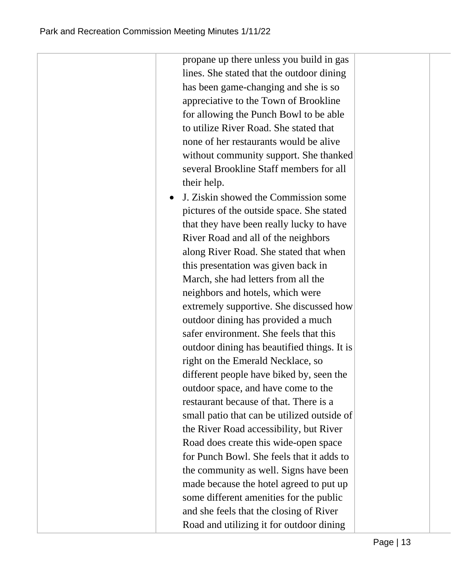propane up there unless you build in gas lines. She stated that the outdoor dining has been game-changing and she is so appreciative to the Town of Brookline for allowing the Punch Bowl to be able to utilize River Road. She stated that none of her restaurants would be alive without community support. She thanked several Brookline Staff members for all their help. • J. Ziskin showed the Commission some pictures of the outside space. She stated that they have been really lucky to have River Road and all of the neighbors along River Road. She stated that when this presentation was given back in March, she had letters from all the neighbors and hotels, which were extremely supportive. She discussed how outdoor dining has provided a much safer environment. She feels that this outdoor dining has beautified things. It is right on the Emerald Necklace, so different people have biked by, seen the outdoor space, and have come to the restaurant because of that. There is a small patio that can be utilized outside of the River Road accessibility, but River Road does create this wide-open space for Punch Bowl. She feels that it adds to the community as well. Signs have been made because the hotel agreed to put up some different amenities for the public and she feels that the closing of River Road and utilizing it for outdoor dining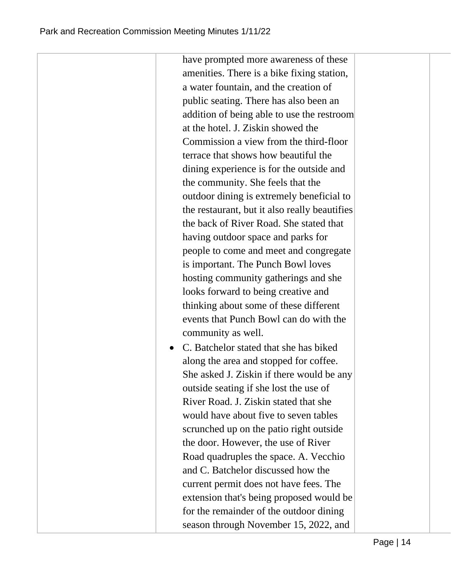have prompted more awareness of these amenities. There is a bike fixing station, a water fountain, and the creation of public seating. There has also been an addition of being able to use the restroom at the hotel. J. Ziskin showed the Commission a view from the third-floor terrace that shows how beautiful the dining experience is for the outside and the community. She feels that the outdoor dining is extremely beneficial to the restaurant, but it also really beautifies the back of River Road. She stated that having outdoor space and parks for people to come and meet and congregate is important. The Punch Bowl loves hosting community gatherings and she looks forward to being creative and thinking about some of these different events that Punch Bowl can do with the community as well. • C. Batchelor stated that she has biked along the area and stopped for coffee. She asked J. Ziskin if there would be any outside seating if she lost the use of

River Road. J. Ziskin stated that she would have about five to seven tables scrunched up on the patio right outside the door. However, the use of River Road quadruples the space. A. Vecchio and C. Batchelor discussed how the current permit does not have fees. The extension that's being proposed would be for the remainder of the outdoor dining season through November 15, 2022, and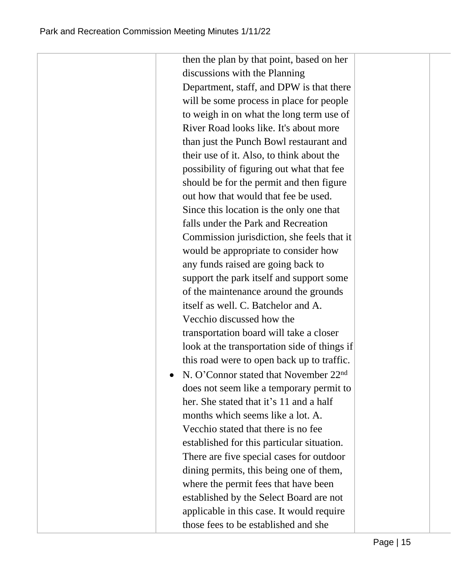then the plan by that point, based on her discussions with the Planning Department, staff, and DPW is that there will be some process in place for people to weigh in on what the long term use of River Road looks like. It's about more than just the Punch Bowl restaurant and their use of it. Also, to think about the possibility of figuring out what that fee should be for the permit and then figure out how that would that fee be used. Since this location is the only one that falls under the Park and Recreation Commission jurisdiction, she feels that it would be appropriate to consider how any funds raised are going back to support the park itself and support some of the maintenance around the grounds itself as well. C. Batchelor and A. Vecchio discussed how the transportation board will take a closer look at the transportation side of things if this road were to open back up to traffic. • N. O'Connor stated that November 22<sup>nd</sup> does not seem like a temporary permit to her. She stated that it's 11 and a half months which seems like a lot. A. Vecchio stated that there is no fee established for this particular situation. There are five special cases for outdoor dining permits, this being one of them, where the permit fees that have been established by the Select Board are not applicable in this case. It would require those fees to be established and she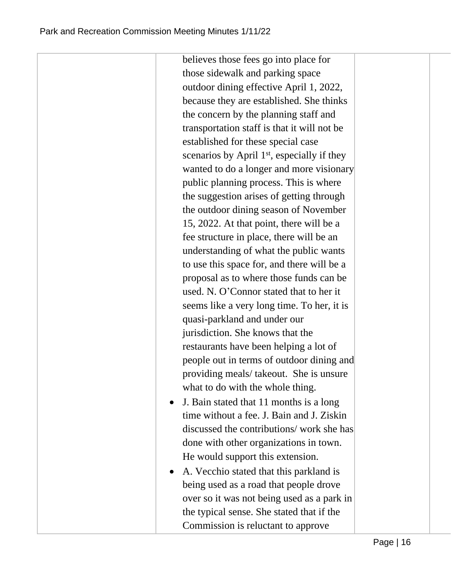believes those fees go into place for those sidewalk and parking space outdoor dining effective April 1, 2022, because they are established. She thinks the concern by the planning staff and transportation staff is that it will not be established for these special case scenarios by April  $1<sup>st</sup>$ , especially if they wanted to do a longer and more visionary public planning process. This is where the suggestion arises of getting through the outdoor dining season of November 15, 2022. At that point, there will be a fee structure in place, there will be an understanding of what the public wants to use this space for, and there will be a proposal as to where those funds can be used. N. O'Connor stated that to her it seems like a very long time. To her, it is quasi-parkland and under our jurisdiction. She knows that the restaurants have been helping a lot of people out in terms of outdoor dining and providing meals/ takeout. She is unsure what to do with the whole thing. J. Bain stated that 11 months is a long time without a fee. J. Bain and J. Ziskin discussed the contributions/ work she has done with other organizations in town. He would support this extension.

 A. Vecchio stated that this parkland is being used as a road that people drove over so it was not being used as a park in the typical sense. She stated that if the Commission is reluctant to approve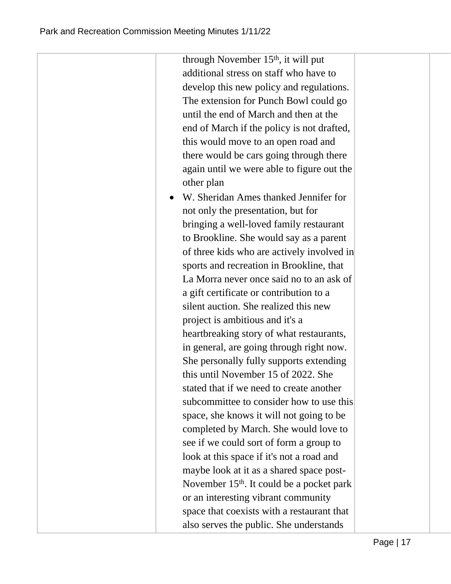through November  $15<sup>th</sup>$ , it will put additional stress on staff who have to develop this new policy and regulations. The extension for Punch Bowl could go until the end of March and then at the end of March if the policy is not drafted, this would move to an open road and there would be cars going through there again until we were able to figure out the other plan W. Sheridan Ames thanked Jennifer for not only the presentation, but for bringing a well-loved family restaurant to Brookline. She would say as a parent of three kids who are actively involved in sports and recreation in Brookline, that La Morra never once said no to an ask of a gift certificate or contribution to a silent auction. She realized this new project is ambitious and it's a heartbreaking story of what restaurants, in general, are going through right now. She personally fully supports extending this until November 15 of 2022. She stated that if we need to create another subcommittee to consider how to use this space, she knows it will not going to be completed by March. She would love to see if we could sort of form a group to look at this space if it's not a road and maybe look at it as a shared space post-November 15<sup>th</sup>. It could be a pocket park or an interesting vibrant community space that coexists with a restaurant that also serves the public. She understands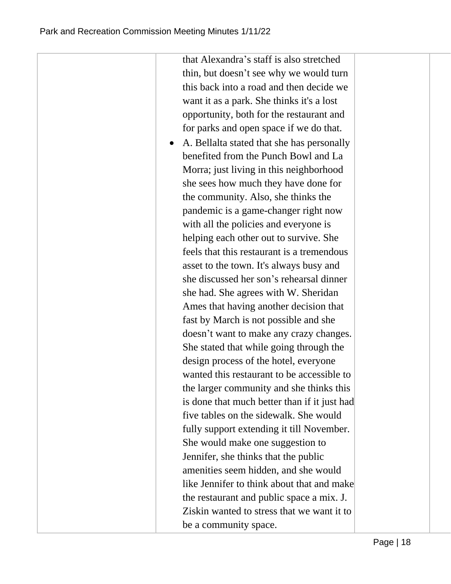that Alexandra's staff is also stretched thin, but doesn't see why we would turn this back into a road and then decide we want it as a park. She thinks it's a lost opportunity, both for the restaurant and for parks and open space if we do that.

 A. Bellalta stated that she has personally benefited from the Punch Bowl and La Morra; just living in this neighborhood she sees how much they have done for the community. Also, she thinks the pandemic is a game-changer right now with all the policies and everyone is helping each other out to survive. She feels that this restaurant is a tremendous asset to the town. It's always busy and she discussed her son's rehearsal dinner she had. She agrees with W. Sheridan Ames that having another decision that fast by March is not possible and she doesn't want to make any crazy changes. She stated that while going through the design process of the hotel, everyone wanted this restaurant to be accessible to the larger community and she thinks this is done that much better than if it just had five tables on the sidewalk. She would fully support extending it till November. She would make one suggestion to Jennifer, she thinks that the public amenities seem hidden, and she would like Jennifer to think about that and make the restaurant and public space a mix. J. Ziskin wanted to stress that we want it to be a community space.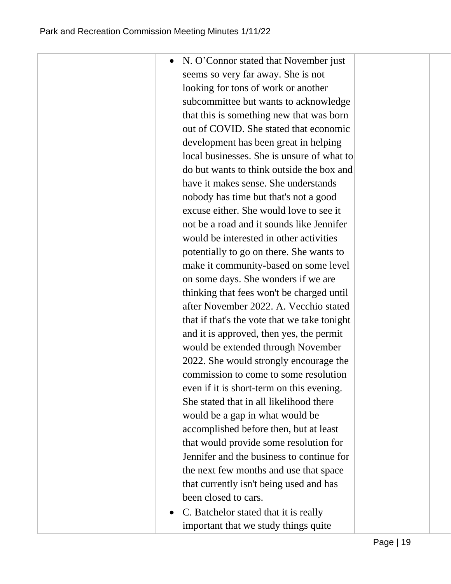| N. O'Connor stated that November just        |  |
|----------------------------------------------|--|
| seems so very far away. She is not           |  |
| looking for tons of work or another          |  |
| subcommittee but wants to acknowledge        |  |
| that this is something new that was born     |  |
| out of COVID. She stated that economic       |  |
| development has been great in helping        |  |
| local businesses. She is unsure of what to   |  |
| do but wants to think outside the box and    |  |
| have it makes sense. She understands         |  |
| nobody has time but that's not a good        |  |
| excuse either. She would love to see it      |  |
| not be a road and it sounds like Jennifer    |  |
| would be interested in other activities      |  |
| potentially to go on there. She wants to     |  |
| make it community-based on some level        |  |
| on some days. She wonders if we are          |  |
| thinking that fees won't be charged until    |  |
| after November 2022. A. Vecchio stated       |  |
| that if that's the vote that we take tonight |  |
| and it is approved, then yes, the permit     |  |
| would be extended through November           |  |
| 2022. She would strongly encourage the       |  |
| commission to come to some resolution        |  |
| even if it is short-term on this evening.    |  |
| She stated that in all likelihood there      |  |
| would be a gap in what would be              |  |
| accomplished before then, but at least       |  |
| that would provide some resolution for       |  |
| Jennifer and the business to continue for    |  |
| the next few months and use that space       |  |
| that currently isn't being used and has      |  |
| been closed to cars.                         |  |
| Databalan atata di that it is no             |  |

 C. Batchelor stated that it is really important that we study things quite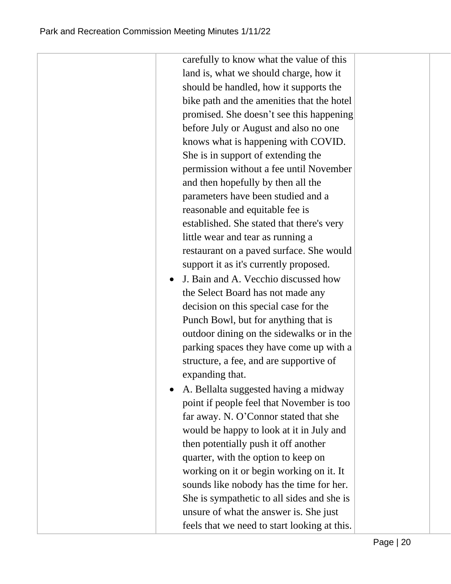| carefully to know what the value of this     |
|----------------------------------------------|
| land is, what we should charge, how it       |
| should be handled, how it supports the       |
| bike path and the amenities that the hotel   |
| promised. She doesn't see this happening     |
| before July or August and also no one        |
| knows what is happening with COVID.          |
| She is in support of extending the           |
| permission without a fee until November      |
| and then hopefully by then all the           |
| parameters have been studied and a           |
| reasonable and equitable fee is              |
| established. She stated that there's very    |
| little wear and tear as running a            |
| restaurant on a paved surface. She would     |
| support it as it's currently proposed.       |
| J. Bain and A. Vecchio discussed how         |
| the Select Board has not made any            |
| decision on this special case for the        |
| Punch Bowl, but for anything that is         |
| outdoor dining on the sidewalks or in the    |
| parking spaces they have come up with a      |
| structure, a fee, and are supportive of      |
| expanding that.                              |
| A. Bellalta suggested having a midway        |
| point if people feel that November is too    |
| far away. N. O'Connor stated that she        |
| would be happy to look at it in July and     |
| then potentially push it off another         |
| quarter, with the option to keep on          |
| working on it or begin working on it. It     |
| sounds like nobody has the time for her.     |
| She is sympathetic to all sides and she is   |
| unsure of what the answer is. She just       |
| feels that we need to start looking at this. |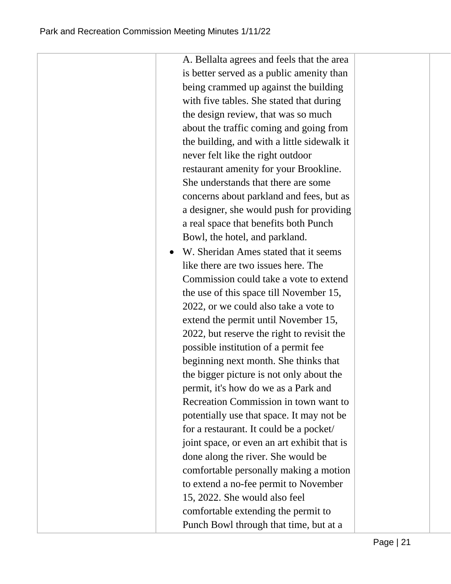| A. Bellalta agrees and feels that the area  |  |
|---------------------------------------------|--|
| is better served as a public amenity than   |  |
| being crammed up against the building       |  |
| with five tables. She stated that during    |  |
| the design review, that was so much         |  |
| about the traffic coming and going from     |  |
| the building, and with a little sidewalk it |  |
| never felt like the right outdoor           |  |
| restaurant amenity for your Brookline.      |  |
| She understands that there are some         |  |
| concerns about parkland and fees, but as    |  |
| a designer, she would push for providing    |  |
| a real space that benefits both Punch       |  |
| Bowl, the hotel, and parkland.              |  |
| W. Sheridan Ames stated that it seems       |  |
| like there are two issues here. The         |  |
| Commission could take a vote to extend      |  |
| the use of this space till November 15,     |  |
| 2022, or we could also take a vote to       |  |
| extend the permit until November 15,        |  |
| 2022, but reserve the right to revisit the  |  |
| possible institution of a permit fee        |  |
| beginning next month. She thinks that       |  |
| the bigger picture is not only about the    |  |
| permit, it's how do we as a Park and        |  |
| Recreation Commission in town want to       |  |
| potentially use that space. It may not be   |  |
| for a restaurant. It could be a pocket/     |  |
| joint space, or even an art exhibit that is |  |
| done along the river. She would be          |  |
| comfortable personally making a motion      |  |
| to extend a no-fee permit to November       |  |
| 15, 2022. She would also feel               |  |
| comfortable extending the permit to         |  |
| Punch Bowl through that time, but at a      |  |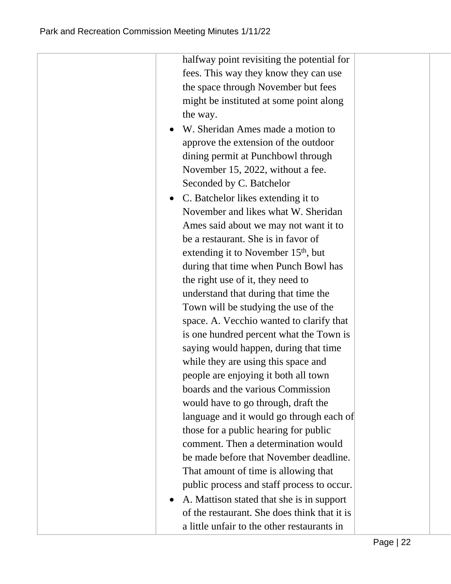halfway point revisiting the potential for fees. This way they know they can use the space through November but fees might be instituted at some point along the way. W. Sheridan Ames made a motion to approve the extension of the outdoor dining permit at Punchbowl through November 15, 2022, without a fee. Seconded by C. Batchelor • C. Batchelor likes extending it to November and likes what W. Sheridan Ames said about we may not want it to be a restaurant. She is in favor of extending it to November 15<sup>th</sup>, but during that time when Punch Bowl has the right use of it, they need to understand that during that time the Town will be studying the use of the space. A. Vecchio wanted to clarify that is one hundred percent what the Town is saying would happen, during that time while they are using this space and people are enjoying it both all town boards and the various Commission would have to go through, draft the language and it would go through each of those for a public hearing for public comment. Then a determination would be made before that November deadline. That amount of time is allowing that public process and staff process to occur. A. Mattison stated that she is in support of the restaurant. She does think that it is a little unfair to the other restaurants in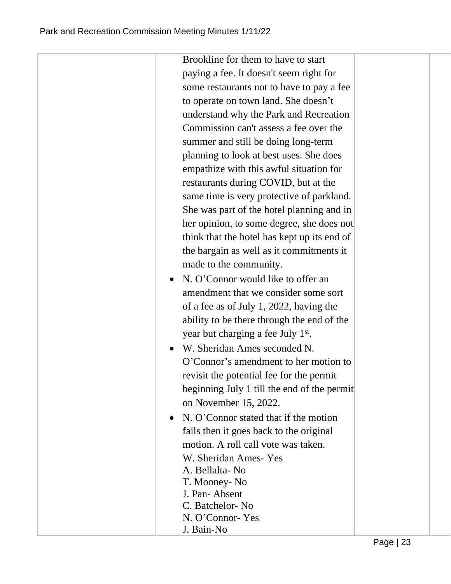|           | Brookline for them to have to start            |  |
|-----------|------------------------------------------------|--|
|           | paying a fee. It doesn't seem right for        |  |
|           | some restaurants not to have to pay a fee      |  |
|           | to operate on town land. She doesn't           |  |
|           | understand why the Park and Recreation         |  |
|           | Commission can't assess a fee over the         |  |
|           | summer and still be doing long-term            |  |
|           | planning to look at best uses. She does        |  |
|           | empathize with this awful situation for        |  |
|           | restaurants during COVID, but at the           |  |
|           | same time is very protective of parkland.      |  |
|           | She was part of the hotel planning and in      |  |
|           | her opinion, to some degree, she does not      |  |
|           | think that the hotel has kept up its end of    |  |
|           | the bargain as well as it commitments it       |  |
|           | made to the community.                         |  |
|           | N. O'Connor would like to offer an             |  |
|           | amendment that we consider some sort           |  |
|           | of a fee as of July 1, 2022, having the        |  |
|           | ability to be there through the end of the     |  |
|           | year but charging a fee July 1 <sup>st</sup> . |  |
| $\bullet$ | W. Sheridan Ames seconded N.                   |  |
|           | O'Connor's amendment to her motion to          |  |
|           | revisit the potential fee for the permit       |  |
|           | beginning July 1 till the end of the permit    |  |
|           | on November 15, 2022.                          |  |
|           | N. O'Connor stated that if the motion          |  |
|           | fails then it goes back to the original        |  |
|           | motion. A roll call vote was taken.            |  |
|           | W. Sheridan Ames-Yes                           |  |
|           | A. Bellalta-No                                 |  |
|           | T. Mooney- No                                  |  |
|           | J. Pan-Absent                                  |  |
|           | C. Batchelor-No                                |  |
|           | N. O'Connor-Yes                                |  |
|           | J. Bain-No                                     |  |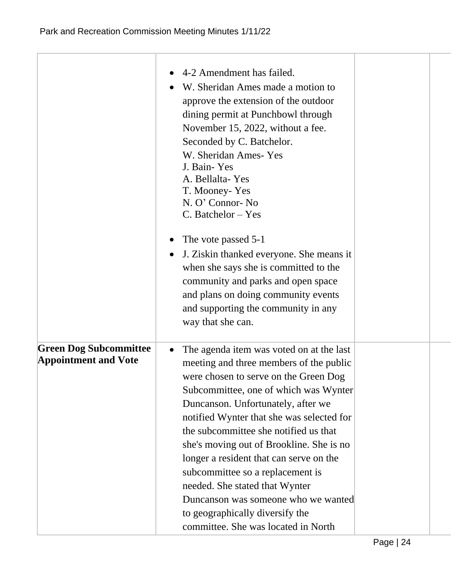|                                                              | 4-2 Amendment has failed.<br>W. Sheridan Ames made a motion to<br>approve the extension of the outdoor<br>dining permit at Punchbowl through<br>November 15, 2022, without a fee.<br>Seconded by C. Batchelor.<br>W. Sheridan Ames-Yes<br>J. Bain-Yes<br>A. Bellalta-Yes<br>T. Mooney-Yes<br>N. O' Connor-No<br>$C.$ Batchelor $-$ Yes<br>The vote passed 5-1<br>J. Ziskin thanked everyone. She means it<br>when she says she is committed to the<br>community and parks and open space<br>and plans on doing community events<br>and supporting the community in any<br>way that she can.  |  |
|--------------------------------------------------------------|----------------------------------------------------------------------------------------------------------------------------------------------------------------------------------------------------------------------------------------------------------------------------------------------------------------------------------------------------------------------------------------------------------------------------------------------------------------------------------------------------------------------------------------------------------------------------------------------|--|
| <b>Green Dog Subcommittee</b><br><b>Appointment and Vote</b> | The agenda item was voted on at the last<br>$\bullet$<br>meeting and three members of the public<br>were chosen to serve on the Green Dog<br>Subcommittee, one of which was Wynter<br>Duncanson. Unfortunately, after we<br>notified Wynter that she was selected for<br>the subcommittee she notified us that<br>she's moving out of Brookline. She is no<br>longer a resident that can serve on the<br>subcommittee so a replacement is<br>needed. She stated that Wynter<br>Duncanson was someone who we wanted<br>to geographically diversify the<br>committee. She was located in North |  |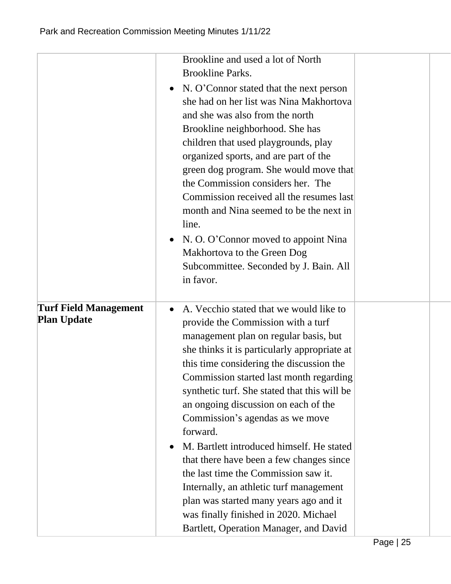|                              | Brookline and used a lot of North                    |  |
|------------------------------|------------------------------------------------------|--|
|                              | <b>Brookline Parks.</b>                              |  |
|                              | N. O'Connor stated that the next person<br>$\bullet$ |  |
|                              | she had on her list was Nina Makhortova              |  |
|                              | and she was also from the north                      |  |
|                              | Brookline neighborhood. She has                      |  |
|                              | children that used playgrounds, play                 |  |
|                              | organized sports, and are part of the                |  |
|                              | green dog program. She would move that               |  |
|                              | the Commission considers her. The                    |  |
|                              | Commission received all the resumes last             |  |
|                              | month and Nina seemed to be the next in              |  |
|                              | line.                                                |  |
|                              | N. O. O'Connor moved to appoint Nina<br>$\bullet$    |  |
|                              | Makhortova to the Green Dog                          |  |
|                              | Subcommittee. Seconded by J. Bain. All               |  |
|                              | in favor.                                            |  |
|                              |                                                      |  |
| <b>Turf Field Management</b> | A. Vecchio stated that we would like to<br>$\bullet$ |  |
| <b>Plan Update</b>           | provide the Commission with a turf                   |  |
|                              | management plan on regular basis, but                |  |
|                              | she thinks it is particularly appropriate at         |  |
|                              | this time considering the discussion the             |  |
|                              | Commission started last month regarding              |  |
|                              | synthetic turf. She stated that this will be         |  |
|                              | an ongoing discussion on each of the                 |  |
|                              | Commission's agendas as we move                      |  |
|                              | forward.                                             |  |
|                              | M. Bartlett introduced himself. He stated            |  |
|                              | that there have been a few changes since             |  |
|                              | the last time the Commission saw it.                 |  |
|                              | Internally, an athletic turf management              |  |
|                              | plan was started many years ago and it               |  |
|                              | was finally finished in 2020. Michael                |  |
|                              | Bartlett, Operation Manager, and David               |  |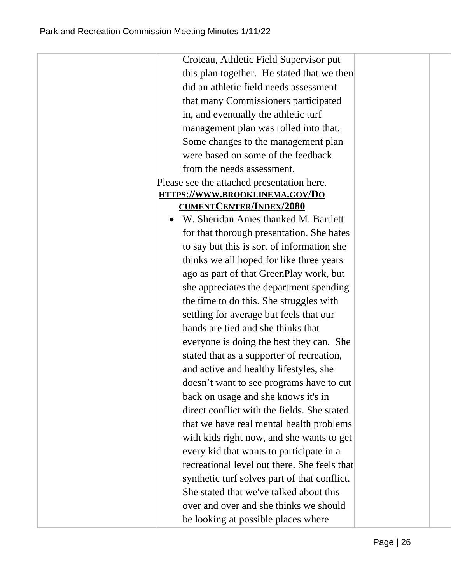| Croteau, Athletic Field Supervisor put       |  |
|----------------------------------------------|--|
| this plan together. He stated that we then   |  |
| did an athletic field needs assessment       |  |
| that many Commissioners participated         |  |
| in, and eventually the athletic turf         |  |
| management plan was rolled into that.        |  |
| Some changes to the management plan          |  |
| were based on some of the feedback           |  |
| from the needs assessment.                   |  |
| Please see the attached presentation here.   |  |
| HTTPS://WWW.BROOKLINEMA.GOV/DO               |  |
| <b>CUMENTCENTER/INDEX/2080</b>               |  |
| W. Sheridan Ames thanked M. Bartlett         |  |
| for that thorough presentation. She hates    |  |
| to say but this is sort of information she   |  |
| thinks we all hoped for like three years     |  |
| ago as part of that GreenPlay work, but      |  |
| she appreciates the department spending      |  |
| the time to do this. She struggles with      |  |
| settling for average but feels that our      |  |
| hands are tied and she thinks that           |  |
| everyone is doing the best they can. She     |  |
| stated that as a supporter of recreation,    |  |
| and active and healthy lifestyles, she       |  |
| doesn't want to see programs have to cut     |  |
| back on usage and she knows it's in          |  |
| direct conflict with the fields. She stated  |  |
| that we have real mental health problems     |  |
| with kids right now, and she wants to get    |  |
| every kid that wants to participate in a     |  |
| recreational level out there. She feels that |  |
| synthetic turf solves part of that conflict. |  |
| She stated that we've talked about this      |  |
| over and over and she thinks we should       |  |
| be looking at possible places where          |  |
|                                              |  |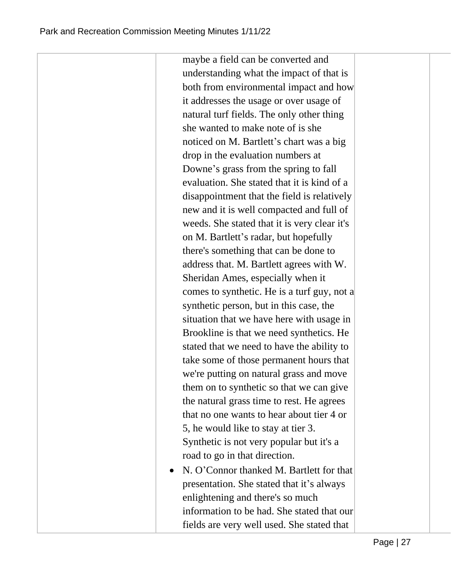maybe a field can be converted and understanding what the impact of that is both from environmental impact and how it addresses the usage or over usage of natural turf fields. The only other thing she wanted to make note of is she noticed on M. Bartlett's chart was a big drop in the evaluation numbers at Downe's grass from the spring to fall evaluation. She stated that it is kind of a disappointment that the field is relatively new and it is well compacted and full of weeds. She stated that it is very clear it's on M. Bartlett's radar, but hopefully there's something that can be done to address that. M. Bartlett agrees with W. Sheridan Ames, especially when it comes to synthetic. He is a turf guy, not a synthetic person, but in this case, the situation that we have here with usage in Brookline is that we need synthetics. He stated that we need to have the ability to take some of those permanent hours that we're putting on natural grass and move them on to synthetic so that we can give the natural grass time to rest. He agrees that no one wants to hear about tier 4 or 5, he would like to stay at tier 3. Synthetic is not very popular but it's a road to go in that direction. • N. O'Connor thanked M. Bartlett for that presentation. She stated that it's always

enlightening and there's so much information to be had. She stated that our fields are very well used. She stated that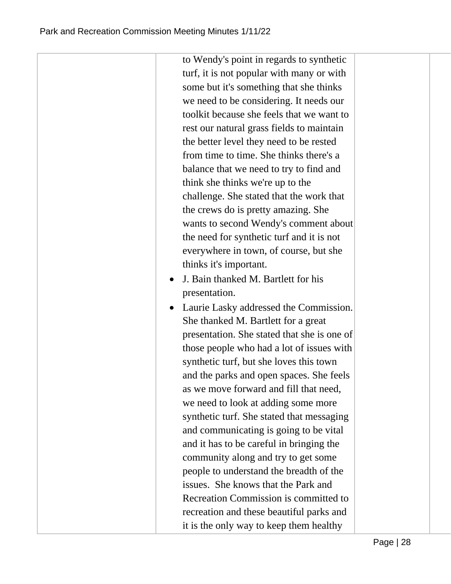| to Wendy's point in regards to synthetic    |
|---------------------------------------------|
| turf, it is not popular with many or with   |
| some but it's something that she thinks     |
| we need to be considering. It needs our     |
| toolkit because she feels that we want to   |
| rest our natural grass fields to maintain   |
| the better level they need to be rested     |
| from time to time. She thinks there's a     |
| balance that we need to try to find and     |
| think she thinks we're up to the            |
| challenge. She stated that the work that    |
| the crews do is pretty amazing. She         |
| wants to second Wendy's comment about       |
| the need for synthetic turf and it is not   |
| everywhere in town, of course, but she      |
| thinks it's important.                      |
| J. Bain thanked M. Bartlett for his         |
| presentation.                               |
| Laurie Lasky addressed the Commission.      |
| She thanked M. Bartlett for a great         |
| presentation. She stated that she is one of |
| those people who had a lot of issues with   |
| synthetic turf, but she loves this town     |
| and the parks and open spaces. She feels    |
| as we move forward and fill that need,      |
| we need to look at adding some more         |
| synthetic turf. She stated that messaging   |
| and communicating is going to be vital      |
| and it has to be careful in bringing the    |
| community along and try to get some         |
| people to understand the breadth of the     |
| issues. She knows that the Park and         |
| Recreation Commission is committed to       |
| recreation and these beautiful parks and    |
| it is the only way to keep them healthy     |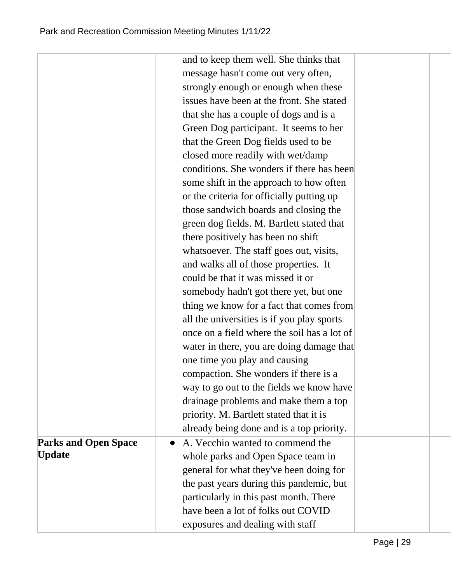|                             | and to keep them well. She thinks that      |
|-----------------------------|---------------------------------------------|
|                             | message hasn't come out very often,         |
|                             | strongly enough or enough when these        |
|                             | issues have been at the front. She stated   |
|                             | that she has a couple of dogs and is a      |
|                             | Green Dog participant. It seems to her      |
|                             | that the Green Dog fields used to be        |
|                             | closed more readily with wet/damp           |
|                             | conditions. She wonders if there has been   |
|                             | some shift in the approach to how often     |
|                             | or the criteria for officially putting up   |
|                             | those sandwich boards and closing the       |
|                             | green dog fields. M. Bartlett stated that   |
|                             | there positively has been no shift          |
|                             | whatsoever. The staff goes out, visits,     |
|                             | and walks all of those properties. It       |
|                             | could be that it was missed it or           |
|                             | somebody hadn't got there yet, but one      |
|                             | thing we know for a fact that comes from    |
|                             | all the universities is if you play sports  |
|                             | once on a field where the soil has a lot of |
|                             | water in there, you are doing damage that   |
|                             | one time you play and causing               |
|                             | compaction. She wonders if there is a       |
|                             | way to go out to the fields we know have    |
|                             | drainage problems and make them a top       |
|                             | priority. M. Bartlett stated that it is     |
|                             | already being done and is a top priority.   |
| <b>Parks and Open Space</b> | A. Vecchio wanted to commend the            |
| <b>Update</b>               | whole parks and Open Space team in          |
|                             | general for what they've been doing for     |
|                             | the past years during this pandemic, but    |
|                             | particularly in this past month. There      |
|                             | have been a lot of folks out COVID          |
|                             | exposures and dealing with staff            |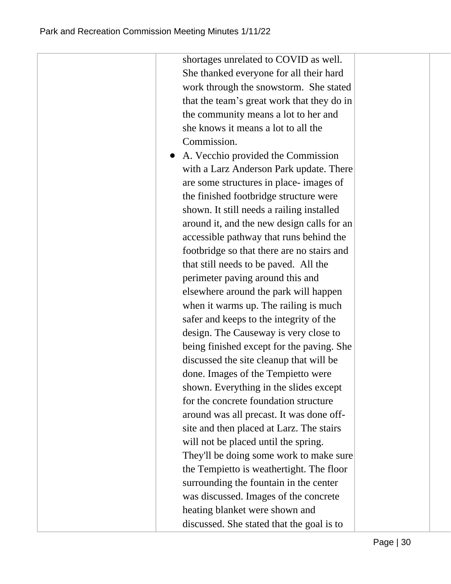shortages unrelated to COVID as well. She thanked everyone for all their hard work through the snowstorm. She stated that the team's great work that they do in the community means a lot to her and she knows it means a lot to all the Commission. ● A. Vecchio provided the Commission with a Larz Anderson Park update. There are some structures in place- images of the finished footbridge structure were shown. It still needs a railing installed around it, and the new design calls for an accessible pathway that runs behind the footbridge so that there are no stairs and that still needs to be paved. All the perimeter paving around this and elsewhere around the park will happen when it warms up. The railing is much safer and keeps to the integrity of the design. The Causeway is very close to being finished except for the paving. She discussed the site cleanup that will be done. Images of the Tempietto were shown. Everything in the slides except for the concrete foundation structure around was all precast. It was done offsite and then placed at Larz. The stairs will not be placed until the spring. They'll be doing some work to make sure the Tempietto is weathertight. The floor surrounding the fountain in the center was discussed. Images of the concrete heating blanket were shown and discussed. She stated that the goal is to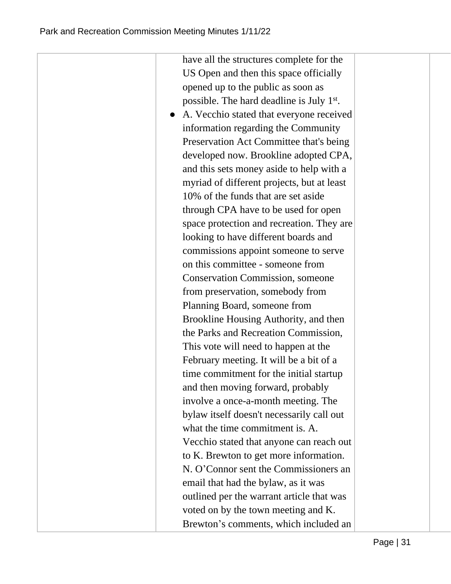US Open and then this space officially opened up to the public as soon as possible. The hard deadline is July 1<sup>st</sup>. ● A. Vecchio stated that everyone received information regarding the Community Preservation Act Committee that's being developed now. Brookline adopted CPA, and this sets money aside to help with a myriad of different projects, but at least 10% of the funds that are set aside through CPA have to be used for open space protection and recreation. They are looking to have different boards and commissions appoint someone to serve on this committee - someone from Conservation Commission, someone from preservation, somebody from Planning Board, someone from Brookline Housing Authority, and then the Parks and Recreation Commission, This vote will need to happen at the February meeting. It will be a bit of a time commitment for the initial startup and then moving forward, probably involve a once-a-month meeting. The bylaw itself doesn't necessarily call out what the time commitment is. A. Vecchio stated that anyone can reach out to K. Brewton to get more information. N. O'Connor sent the Commissioners an email that had the bylaw, as it was outlined per the warrant article that was voted on by the town meeting and K. Brewton's comments, which included an

have all the structures complete for the